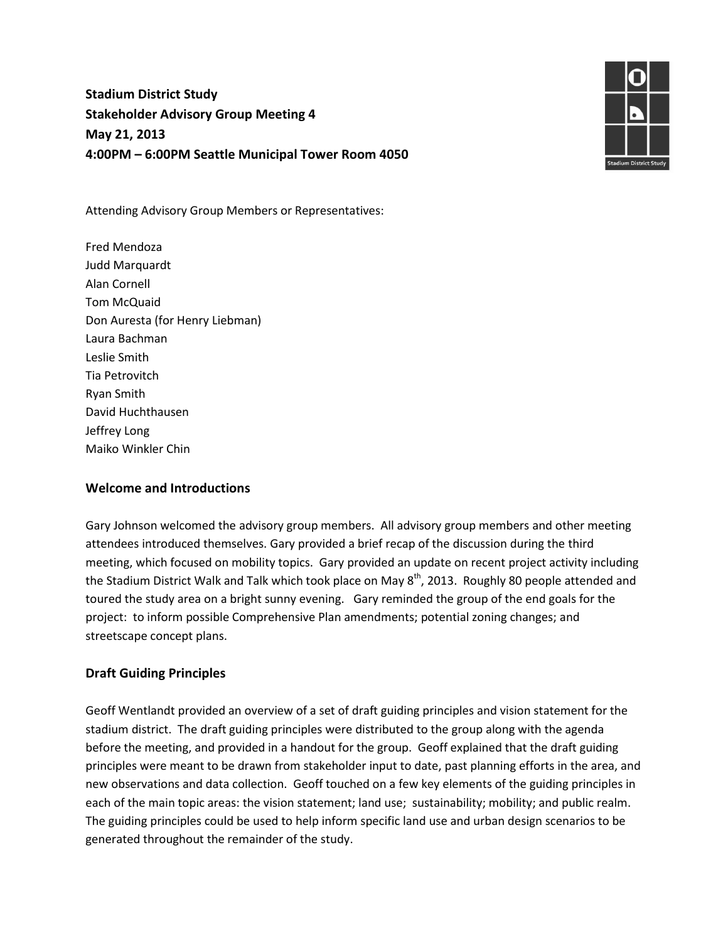# **Stadium District Study Stakeholder Advisory Group Meeting 4 May 21, 2013 4:00PM – 6:00PM Seattle Municipal Tower Room 4050**



Attending Advisory Group Members or Representatives:

Fred Mendoza Judd Marquardt Alan Cornell Tom McQuaid Don Auresta (for Henry Liebman) Laura Bachman Leslie Smith Tia Petrovitch Ryan Smith David Huchthausen Jeffrey Long Maiko Winkler Chin

#### **Welcome and Introductions**

Gary Johnson welcomed the advisory group members. All advisory group members and other meeting attendees introduced themselves. Gary provided a brief recap of the discussion during the third meeting, which focused on mobility topics. Gary provided an update on recent project activity including the Stadium District Walk and Talk which took place on May  $8<sup>th</sup>$ , 2013. Roughly 80 people attended and toured the study area on a bright sunny evening. Gary reminded the group of the end goals for the project: to inform possible Comprehensive Plan amendments; potential zoning changes; and streetscape concept plans.

## **Draft Guiding Principles**

Geoff Wentlandt provided an overview of a set of draft guiding principles and vision statement for the stadium district. The draft guiding principles were distributed to the group along with the agenda before the meeting, and provided in a handout for the group. Geoff explained that the draft guiding principles were meant to be drawn from stakeholder input to date, past planning efforts in the area, and new observations and data collection. Geoff touched on a few key elements of the guiding principles in each of the main topic areas: the vision statement; land use; sustainability; mobility; and public realm. The guiding principles could be used to help inform specific land use and urban design scenarios to be generated throughout the remainder of the study.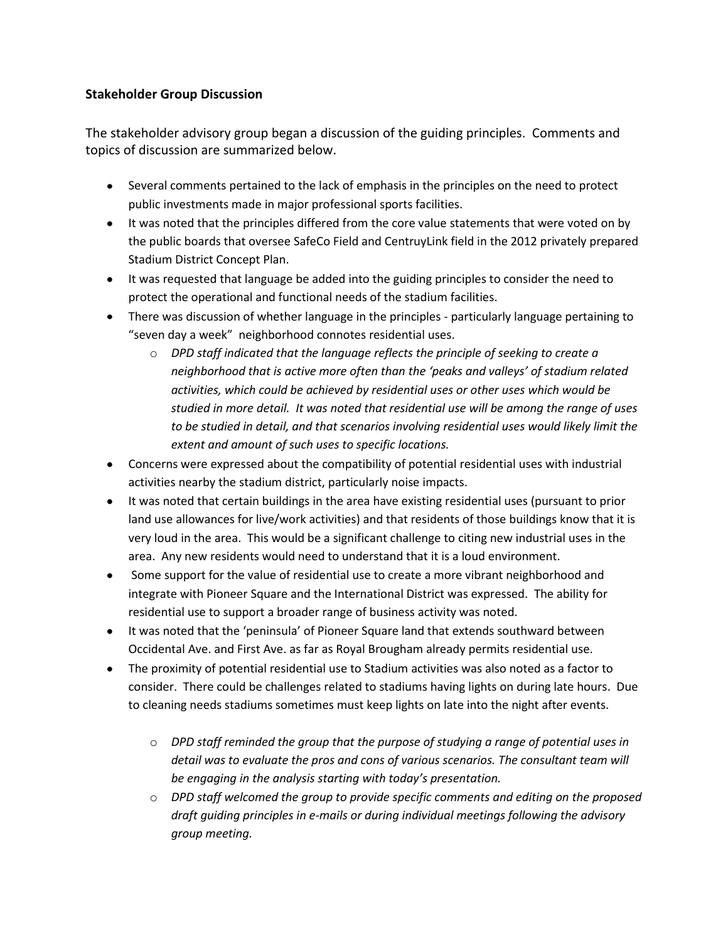# **Stakeholder Group Discussion**

The stakeholder advisory group began a discussion of the guiding principles. Comments and topics of discussion are summarized below.

- Several comments pertained to the lack of emphasis in the principles on the need to protect public investments made in major professional sports facilities.
- It was noted that the principles differed from the core value statements that were voted on by the public boards that oversee SafeCo Field and CentruyLink field in the 2012 privately prepared Stadium District Concept Plan.
- It was requested that language be added into the guiding principles to consider the need to protect the operational and functional needs of the stadium facilities.
- There was discussion of whether language in the principles particularly language pertaining to "seven day a week" neighborhood connotes residential uses.
	- o *DPD staff indicated that the language reflects the principle of seeking to create a neighborhood that is active more often than the 'peaks and valleys' of stadium related activities, which could be achieved by residential uses or other uses which would be studied in more detail. It was noted that residential use will be among the range of uses to be studied in detail, and that scenarios involving residential uses would likely limit the extent and amount of such uses to specific locations.*
- Concerns were expressed about the compatibility of potential residential uses with industrial activities nearby the stadium district, particularly noise impacts.
- It was noted that certain buildings in the area have existing residential uses (pursuant to prior land use allowances for live/work activities) and that residents of those buildings know that it is very loud in the area. This would be a significant challenge to citing new industrial uses in the area. Any new residents would need to understand that it is a loud environment.
- Some support for the value of residential use to create a more vibrant neighborhood and  $\bullet$ integrate with Pioneer Square and the International District was expressed. The ability for residential use to support a broader range of business activity was noted.
- It was noted that the 'peninsula' of Pioneer Square land that extends southward between Occidental Ave. and First Ave. as far as Royal Brougham already permits residential use.
- The proximity of potential residential use to Stadium activities was also noted as a factor to consider. There could be challenges related to stadiums having lights on during late hours. Due to cleaning needs stadiums sometimes must keep lights on late into the night after events.
	- o *DPD staff reminded the group that the purpose of studying a range of potential uses in detail was to evaluate the pros and cons of various scenarios. The consultant team will be engaging in the analysis starting with today's presentation.*
	- o *DPD staff welcomed the group to provide specific comments and editing on the proposed draft guiding principles in e-mails or during individual meetings following the advisory group meeting.*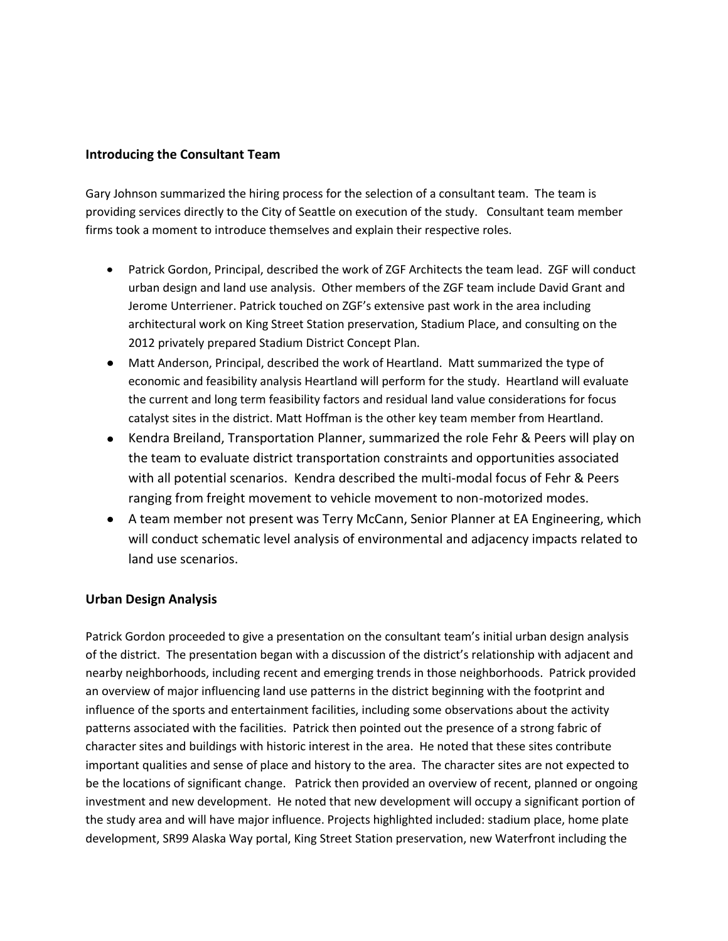#### **Introducing the Consultant Team**

Gary Johnson summarized the hiring process for the selection of a consultant team. The team is providing services directly to the City of Seattle on execution of the study. Consultant team member firms took a moment to introduce themselves and explain their respective roles.

- Patrick Gordon, Principal, described the work of ZGF Architects the team lead. ZGF will conduct urban design and land use analysis. Other members of the ZGF team include David Grant and Jerome Unterriener. Patrick touched on ZGF's extensive past work in the area including architectural work on King Street Station preservation, Stadium Place, and consulting on the 2012 privately prepared Stadium District Concept Plan.
- Matt Anderson, Principal, described the work of Heartland. Matt summarized the type of economic and feasibility analysis Heartland will perform for the study. Heartland will evaluate the current and long term feasibility factors and residual land value considerations for focus catalyst sites in the district. Matt Hoffman is the other key team member from Heartland.
- Kendra Breiland, Transportation Planner, summarized the role Fehr & Peers will play on the team to evaluate district transportation constraints and opportunities associated with all potential scenarios. Kendra described the multi-modal focus of Fehr & Peers ranging from freight movement to vehicle movement to non-motorized modes.
- A team member not present was Terry McCann, Senior Planner at EA Engineering, which will conduct schematic level analysis of environmental and adjacency impacts related to land use scenarios.

## **Urban Design Analysis**

Patrick Gordon proceeded to give a presentation on the consultant team's initial urban design analysis of the district. The presentation began with a discussion of the district's relationship with adjacent and nearby neighborhoods, including recent and emerging trends in those neighborhoods. Patrick provided an overview of major influencing land use patterns in the district beginning with the footprint and influence of the sports and entertainment facilities, including some observations about the activity patterns associated with the facilities. Patrick then pointed out the presence of a strong fabric of character sites and buildings with historic interest in the area. He noted that these sites contribute important qualities and sense of place and history to the area. The character sites are not expected to be the locations of significant change. Patrick then provided an overview of recent, planned or ongoing investment and new development. He noted that new development will occupy a significant portion of the study area and will have major influence. Projects highlighted included: stadium place, home plate development, SR99 Alaska Way portal, King Street Station preservation, new Waterfront including the